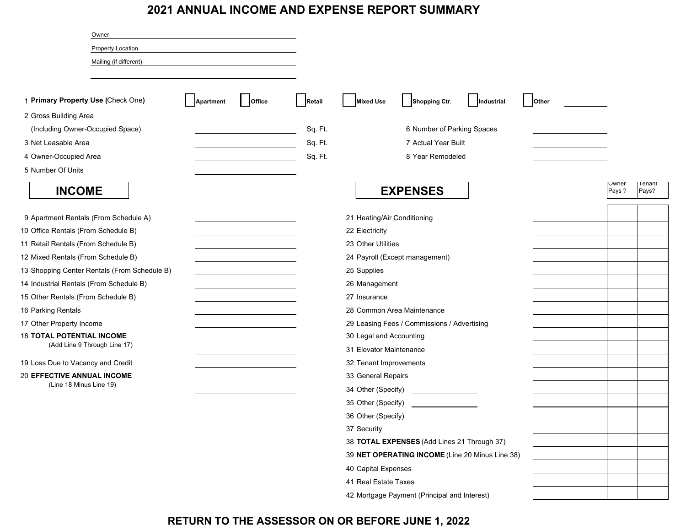### **2021 ANNUAL INCOME AND EXPENSE REPORT SUMMARY**

| Owner                                        |           |        |         |                             |                                                 |            |       |                |                  |
|----------------------------------------------|-----------|--------|---------|-----------------------------|-------------------------------------------------|------------|-------|----------------|------------------|
| Property Location                            |           |        |         |                             |                                                 |            |       |                |                  |
| Mailing (if different)                       |           |        |         |                             |                                                 |            |       |                |                  |
|                                              |           |        |         |                             |                                                 |            |       |                |                  |
| 1 Primary Property Use (Check One)           | Apartment | Office | Retail  | <b>Mixed Use</b>            | Shopping Ctr.                                   | Industrial | Other |                |                  |
| 2 Gross Building Area                        |           |        |         |                             |                                                 |            |       |                |                  |
| (Including Owner-Occupied Space)             |           |        | Sq. Ft. |                             | 6 Number of Parking Spaces                      |            |       |                |                  |
| 3 Net Leasable Area                          |           |        | Sq. Ft. |                             | 7 Actual Year Built                             |            |       |                |                  |
| 4 Owner-Occupied Area                        |           |        | Sq. Ft. |                             | 8 Year Remodeled                                |            |       |                |                  |
| 5 Number Of Units                            |           |        |         |                             |                                                 |            |       |                |                  |
| <b>INCOME</b>                                |           |        |         |                             | <b>EXPENSES</b>                                 |            |       | Owner<br>Pays? | l enant<br>Pays? |
| 9 Apartment Rentals (From Schedule A)        |           |        |         | 21 Heating/Air Conditioning |                                                 |            |       |                |                  |
| 10 Office Rentals (From Schedule B)          |           |        |         | 22 Electricity              |                                                 |            |       |                |                  |
| 11 Retail Rentals (From Schedule B)          |           |        |         | 23 Other Utilities          |                                                 |            |       |                |                  |
| 12 Mixed Rentals (From Schedule B)           |           |        |         |                             | 24 Payroll (Except management)                  |            |       |                |                  |
| 13 Shopping Center Rentals (From Schedule B) |           |        |         | 25 Supplies                 |                                                 |            |       |                |                  |
| 14 Industrial Rentals (From Schedule B)      |           |        |         | 26 Management               |                                                 |            |       |                |                  |
| 15 Other Rentals (From Schedule B)           |           |        |         | 27 Insurance                |                                                 |            |       |                |                  |
| 16 Parking Rentals                           |           |        |         |                             | 28 Common Area Maintenance                      |            |       |                |                  |
| 17 Other Property Income                     |           |        |         |                             | 29 Leasing Fees / Commissions / Advertising     |            |       |                |                  |
| <b>18 TOTAL POTENTIAL INCOME</b>             |           |        |         | 30 Legal and Accounting     |                                                 |            |       |                |                  |
| (Add Line 9 Through Line 17)                 |           |        |         | 31 Elevator Maintenance     |                                                 |            |       |                |                  |
| 19 Loss Due to Vacancy and Credit            |           |        |         | 32 Tenant Improvements      |                                                 |            |       |                |                  |
| <b>20 EFFECTIVE ANNUAL INCOME</b>            |           |        |         | 33 General Repairs          |                                                 |            |       |                |                  |
| (Line 18 Minus Line 19)                      |           |        |         | 34 Other (Specify)          |                                                 |            |       |                |                  |
|                                              |           |        |         | 35 Other (Specify)          |                                                 |            |       |                |                  |
|                                              |           |        |         |                             | 36 Other (Specify) _______________              |            |       |                |                  |
|                                              |           |        |         | 37 Security                 |                                                 |            |       |                |                  |
|                                              |           |        |         |                             | 38 TOTAL EXPENSES (Add Lines 21 Through 37)     |            |       |                |                  |
|                                              |           |        |         |                             | 39 NET OPERATING INCOME (Line 20 Minus Line 38) |            |       |                |                  |
|                                              |           |        |         | 40 Capital Expenses         |                                                 |            |       |                |                  |
|                                              |           |        |         | 41 Real Estate Taxes        |                                                 |            |       |                |                  |
|                                              |           |        |         |                             | 42 Mortgage Payment (Principal and Interest)    |            |       |                |                  |

## **RETURN TO THE ASSESSOR ON OR BEFORE JUNE 1, 2022**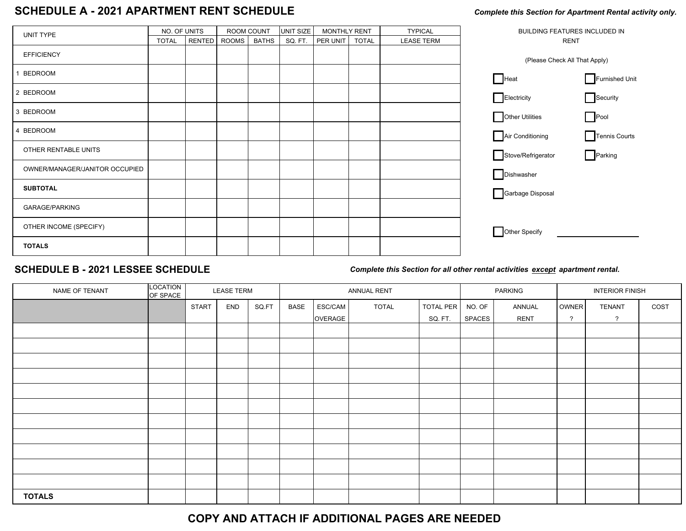# SCHEDULE A - 2021 APARTMENT RENT SCHEDULE<br> **SCHEDULE A - 2021 APARTMENT RENT SCHEDULE**

| UNIT TYPE                      | NO. OF UNITS |        | ROOM COUNT   |              | UNIT SIZE | <b>MONTHLY RENT</b> |              | <b>TYPICAL</b>    | BUILDING FEATURES INCLUDED IN        |  |  |
|--------------------------------|--------------|--------|--------------|--------------|-----------|---------------------|--------------|-------------------|--------------------------------------|--|--|
|                                | <b>TOTAL</b> | RENTED | <b>ROOMS</b> | <b>BATHS</b> | SQ. FT.   | PER UNIT            | <b>TOTAL</b> | <b>LEASE TERM</b> | <b>RENT</b>                          |  |  |
| <b>EFFICIENCY</b>              |              |        |              |              |           |                     |              |                   | (Please Check All That Apply)        |  |  |
| <b>BEDROOM</b>                 |              |        |              |              |           |                     |              |                   | Heat<br>Furnished Unit               |  |  |
| 2 BEDROOM                      |              |        |              |              |           |                     |              |                   | Electricity<br>$\Box$ Security       |  |  |
| 3 BEDROOM                      |              |        |              |              |           |                     |              |                   | Other Utilities<br>$\Box$ Pool       |  |  |
| <b>BEDROOM</b>                 |              |        |              |              |           |                     |              |                   | Air Conditioning<br>Tennis Courts    |  |  |
| OTHER RENTABLE UNITS           |              |        |              |              |           |                     |              |                   | $\Box$ Parking<br>Stove/Refrigerator |  |  |
| OWNER/MANAGER/JANITOR OCCUPIED |              |        |              |              |           |                     |              |                   | Dishwasher                           |  |  |
| <b>SUBTOTAL</b>                |              |        |              |              |           |                     |              |                   | Garbage Disposal                     |  |  |
| <b>GARAGE/PARKING</b>          |              |        |              |              |           |                     |              |                   |                                      |  |  |
| OTHER INCOME (SPECIFY)         |              |        |              |              |           |                     |              |                   | Other Specify                        |  |  |
| <b>TOTALS</b>                  |              |        |              |              |           |                     |              |                   |                                      |  |  |

### **SCHEDULE B - 2021 LESSEE SCHEDULE**

*Complete this Section for all other rental activities except apartment rental.*

| NAME OF TENANT | LOCATION<br>OF SPACE |              | <b>LEASE TERM</b> |       | ANNUAL RENT |         |              |                  | PARKING |             | <b>INTERIOR FINISH</b> |                |      |
|----------------|----------------------|--------------|-------------------|-------|-------------|---------|--------------|------------------|---------|-------------|------------------------|----------------|------|
|                |                      | <b>START</b> | END               | SQ.FT | BASE        | ESC/CAM | <b>TOTAL</b> | <b>TOTAL PER</b> | NO. OF  | ANNUAL      | OWNER                  | <b>TENANT</b>  | COST |
|                |                      |              |                   |       |             | OVERAGE |              | SQ. FT.          | SPACES  | <b>RENT</b> | $\gamma$               | $\overline{?}$ |      |
|                |                      |              |                   |       |             |         |              |                  |         |             |                        |                |      |
|                |                      |              |                   |       |             |         |              |                  |         |             |                        |                |      |
|                |                      |              |                   |       |             |         |              |                  |         |             |                        |                |      |
|                |                      |              |                   |       |             |         |              |                  |         |             |                        |                |      |
|                |                      |              |                   |       |             |         |              |                  |         |             |                        |                |      |
|                |                      |              |                   |       |             |         |              |                  |         |             |                        |                |      |
|                |                      |              |                   |       |             |         |              |                  |         |             |                        |                |      |
|                |                      |              |                   |       |             |         |              |                  |         |             |                        |                |      |
|                |                      |              |                   |       |             |         |              |                  |         |             |                        |                |      |
|                |                      |              |                   |       |             |         |              |                  |         |             |                        |                |      |
|                |                      |              |                   |       |             |         |              |                  |         |             |                        |                |      |
| <b>TOTALS</b>  |                      |              |                   |       |             |         |              |                  |         |             |                        |                |      |

### **COPY AND ATTACH IF ADDITIONAL PAGES ARE NEEDED**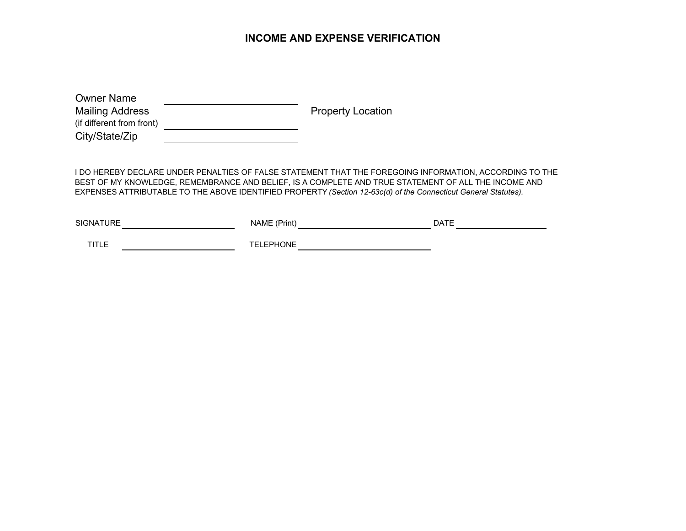#### **INCOME AND EXPENSE VERIFICATION**

| <b>Owner Name</b><br><b>Mailing Address</b> | <b>Property Location</b> |
|---------------------------------------------|--------------------------|
| (if different from front)<br>City/State/Zip |                          |
|                                             |                          |

I DO HEREBY DECLARE UNDER PENALTIES OF FALSE STATEMENT THAT THE FOREGOING INFORMATION, ACCORDING TO THE BEST OF MY KNOWLEDGE, REMEMBRANCE AND BELIEF, IS A COMPLETE AND TRUE STATEMENT OF ALL THE INCOME AND EXPENSES ATTRIBUTABLE TO THE ABOVE IDENTIFIED PROPERTY *(Section 12-63c(d) of the Connecticut General Statutes).*

| <b>ATURE</b><br><b>SIGNAT</b> | NAME<br>(Prinτ,   | <b>DATE</b> |
|-------------------------------|-------------------|-------------|
| TIT.<br>- - - - - -           | <b>DNE</b><br>τ⊏ι |             |